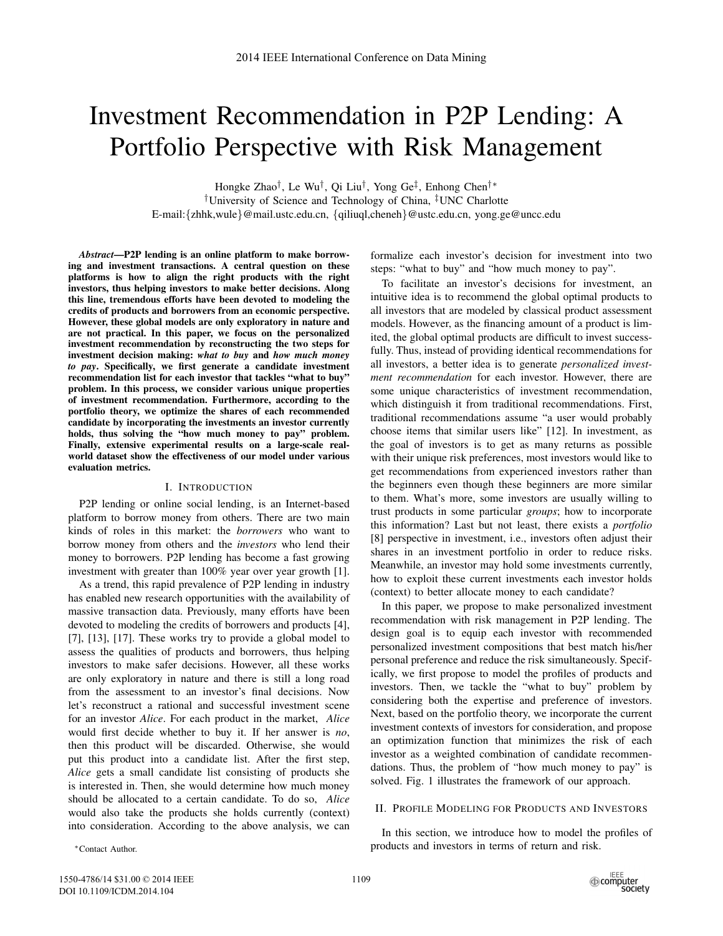# Investment Recommendation in P2P Lending: A Portfolio Perspective with Risk Management

Hongke Zhao†, Le Wu†, Qi Liu†, Yong Ge‡, Enhong Chen†∗ †University of Science and Technology of China, ‡UNC Charlotte E-mail:{zhhk,wule}@mail.ustc.edu.cn, {qiliuql,cheneh}@ustc.edu.cn, yong.ge@uncc.edu

*Abstract*—P2P lending is an online platform to make borrowing and investment transactions. A central question on these platforms is how to align the right products with the right investors, thus helping investors to make better decisions. Along this line, tremendous efforts have been devoted to modeling the credits of products and borrowers from an economic perspective. However, these global models are only exploratory in nature and are not practical. In this paper, we focus on the personalized investment recommendation by reconstructing the two steps for investment decision making: *what to buy* and *how much money to pay*. Specifically, we first generate a candidate investment recommendation list for each investor that tackles "what to buy" problem. In this process, we consider various unique properties of investment recommendation. Furthermore, according to the portfolio theory, we optimize the shares of each recommended candidate by incorporating the investments an investor currently holds, thus solving the "how much money to pay" problem. Finally, extensive experimental results on a large-scale realworld dataset show the effectiveness of our model under various evaluation metrics.

# I. INTRODUCTION

P2P lending or online social lending, is an Internet-based platform to borrow money from others. There are two main kinds of roles in this market: the *borrowers* who want to borrow money from others and the *investors* who lend their money to borrowers. P2P lending has become a fast growing investment with greater than 100% year over year growth [1].

As a trend, this rapid prevalence of P2P lending in industry has enabled new research opportunities with the availability of massive transaction data. Previously, many efforts have been devoted to modeling the credits of borrowers and products [4], [7], [13], [17]. These works try to provide a global model to assess the qualities of products and borrowers, thus helping investors to make safer decisions. However, all these works are only exploratory in nature and there is still a long road from the assessment to an investor's final decisions. Now let's reconstruct a rational and successful investment scene for an investor *Alice*. For each product in the market, *Alice* would first decide whether to buy it. If her answer is *no*, then this product will be discarded. Otherwise, she would put this product into a candidate list. After the first step, *Alice* gets a small candidate list consisting of products she is interested in. Then, she would determine how much money should be allocated to a certain candidate. To do so, *Alice* would also take the products she holds currently (context) into consideration. According to the above analysis, we can formalize each investor's decision for investment into two steps: "what to buy" and "how much money to pay".

To facilitate an investor's decisions for investment, an intuitive idea is to recommend the global optimal products to all investors that are modeled by classical product assessment models. However, as the financing amount of a product is limited, the global optimal products are difficult to invest successfully. Thus, instead of providing identical recommendations for all investors, a better idea is to generate *personalized investment recommendation* for each investor. However, there are some unique characteristics of investment recommendation, which distinguish it from traditional recommendations. First, traditional recommendations assume "a user would probably choose items that similar users like" [12]. In investment, as the goal of investors is to get as many returns as possible with their unique risk preferences, most investors would like to get recommendations from experienced investors rather than the beginners even though these beginners are more similar to them. What's more, some investors are usually willing to trust products in some particular *groups*; how to incorporate this information? Last but not least, there exists a *portfolio* [8] perspective in investment, i.e., investors often adjust their shares in an investment portfolio in order to reduce risks. Meanwhile, an investor may hold some investments currently, how to exploit these current investments each investor holds (context) to better allocate money to each candidate?

In this paper, we propose to make personalized investment recommendation with risk management in P2P lending. The design goal is to equip each investor with recommended personalized investment compositions that best match his/her personal preference and reduce the risk simultaneously. Specifically, we first propose to model the profiles of products and investors. Then, we tackle the "what to buy" problem by considering both the expertise and preference of investors. Next, based on the portfolio theory, we incorporate the current investment contexts of investors for consideration, and propose an optimization function that minimizes the risk of each investor as a weighted combination of candidate recommendations. Thus, the problem of "how much money to pay" is solved. Fig. 1 illustrates the framework of our approach.

# II. PROFILE MODELING FOR PRODUCTS AND INVESTORS

In this section, we introduce how to model the profiles of products and investors in terms of return and risk.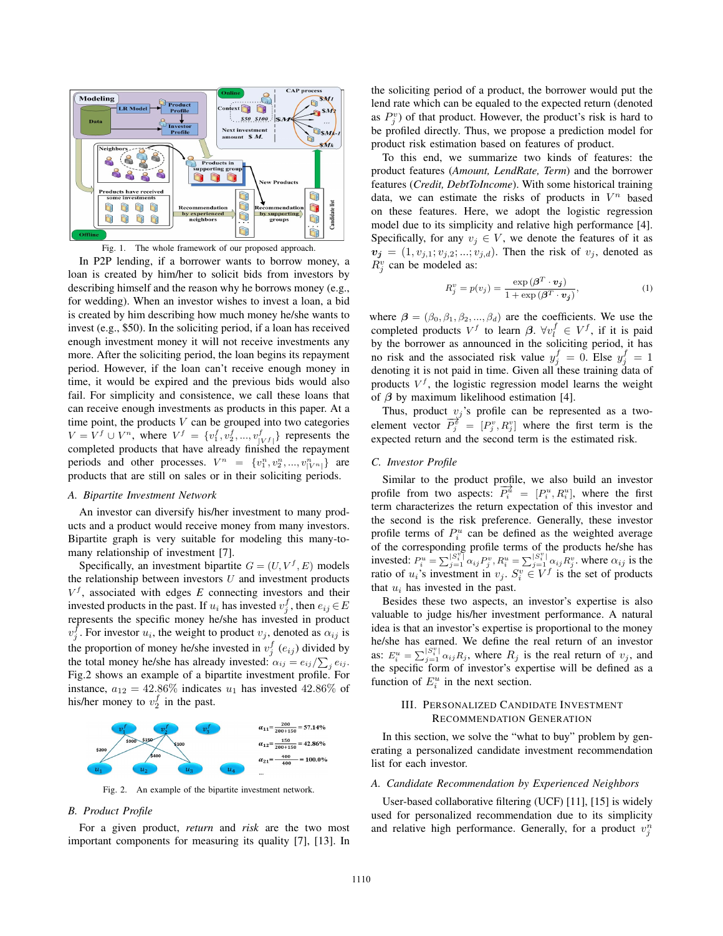



In P2P lending, if a borrower wants to borrow money, a loan is created by him/her to solicit bids from investors by describing himself and the reason why he borrows money (e.g., for wedding). When an investor wishes to invest a loan, a bid is created by him describing how much money he/she wants to invest (e.g., \$50). In the soliciting period, if a loan has received enough investment money it will not receive investments any more. After the soliciting period, the loan begins its repayment period. However, if the loan can't receive enough money in time, it would be expired and the previous bids would also fail. For simplicity and consistence, we call these loans that can receive enough investments as products in this paper. At a time point, the products  $V$  can be grouped into two categories  $V = V^f \cup V^n$ , where  $V^f = \{v_1^f, v_2^f, ..., v_{|V^f|}^f\}$  represents the completed products that have already finished the repayment periods and other processes.  $V^n = \{v_1^n, v_2^n, ..., v_{|V^n|}^n\}$  are products that are still on sales or in their soliciting periods.

#### *A. Bipartite Investment Network*

An investor can diversify his/her investment to many products and a product would receive money from many investors. Bipartite graph is very suitable for modeling this many-tomany relationship of investment [7].

Specifically, an investment bipartite  $G = (U, V^f, E)$  models the relationship between investors  $U$  and investment products  $V<sup>f</sup>$ , associated with edges  $E$  connecting investors and their invested products in the past. If  $u_i$  has invested  $v_j^f$ , then  $e_{ij} \in E$ represents the specific money he/she has invested in product  $v_j^f$ . For investor  $u_i$ , the weight to product  $v_j$ , denoted as  $\alpha_{ij}$  is the proportion of money he/she invested in  $v_i^f$  ( $e_{ij}$ ) divided by the total money he/she has already invested:  $\alpha_{ij} = e_{ij}/\sum_j e_{ij}$ . Fig.2 shows an example of a bipartite investment profile. For instance,  $a_{12} = 42.86\%$  indicates  $u_1$  has invested 42.86% of his/her money to  $v_2^f$  in the past.



Fig. 2. An example of the bipartite investment network.

# *B. Product Profile*

For a given product, *return* and *risk* are the two most important components for measuring its quality [7], [13]. In

the soliciting period of a product, the borrower would put the lend rate which can be equaled to the expected return (denoted as  $P_i^v$ ) of that product. However, the product's risk is hard to be profiled directly. Thus, we propose a prediction model for product risk estimation based on features of product.

To this end, we summarize two kinds of features: the product features (*Amount, LendRate, Term*) and the borrower features (*Credit, DebtToIncome*). With some historical training data, we can estimate the risks of products in  $V^n$  based on these features. Here, we adopt the logistic regression model due to its simplicity and relative high performance [4]. Specifically, for any  $v_j \in V$ , we denote the features of it as  $v_j = (1, v_{j,1}; v_{j,2}; ...; v_{j,d})$ . Then the risk of  $v_j$ , denoted as  $R_i^v$  can be modeled as:

$$
R_j^v = p(v_j) = \frac{\exp\left(\boldsymbol{\beta}^T \cdot \boldsymbol{v}_j\right)}{1 + \exp\left(\boldsymbol{\beta}^T \cdot \boldsymbol{v}_j\right)},\tag{1}
$$

where  $\beta = (\beta_0, \beta_1, \beta_2, ..., \beta_d)$  are the coefficients. We use the completed products  $V^f$  to learn  $\beta$ .  $\forall v_i^f \in V^f$ , if it is paid by the borrower as announced in the soliciting period, it has no risk and the associated risk value  $y_j^f = 0$ . Else  $y_j^f = 1$ denoting it is not paid in time. Given all these training data of products  $V<sup>f</sup>$ , the logistic regression model learns the weight of *β* by maximum likelihood estimation [4].

Thus, product  $v_j$ 's profile can be represented as a twoelement vector  $\overline{P_j^b} = [P_j^v, R_j^v]$  where the first term is the expected return and the second term is the estimated risk.

# *C. Investor Profile*

Similar to the product profile, we also build an investor profile from two aspects:  $\overline{P_i^u} = [P_i^u, R_i^u]$ , where the first term characterizes the return expectation of this investor and the second is the risk preference. Generally, these investor profile terms of  $P_i^u$  can be defined as the weighted average of the corresponding profile terms of the products he/she has invested:  $P_i^u = \sum_{j=1}^{|S_i^v|} \alpha_{ij} P_j^v$ ,  $R_i^u = \sum_{j=1}^{|S_i^v|} \alpha_{ij} R_j^v$ , where  $\alpha_{ij}$  is the ratio of  $u_i$ 's investment in  $v_j$ .  $S_i^v \in V^f$  is the set of products that  $u_i$  has invested in the past.

Besides these two aspects, an investor's expertise is also valuable to judge his/her investment performance. A natural idea is that an investor's expertise is proportional to the money he/she has earned. We define the real return of an investor as:  $E_i^u = \sum_{j=1}^{|S_i^v|} \alpha_{ij} R_j$ , where  $R_j$  is the real return of  $v_j$ , and the specific form of investor's expertise will be defined as a function of  $E_i^u$  in the next section.

# III. PERSONALIZED CANDIDATE INVESTMENT RECOMMENDATION GENERATION

In this section, we solve the "what to buy" problem by generating a personalized candidate investment recommendation list for each investor.

## *A. Candidate Recommendation by Experienced Neighbors*

User-based collaborative filtering (UCF) [11], [15] is widely used for personalized recommendation due to its simplicity and relative high performance. Generally, for a product  $v_i^n$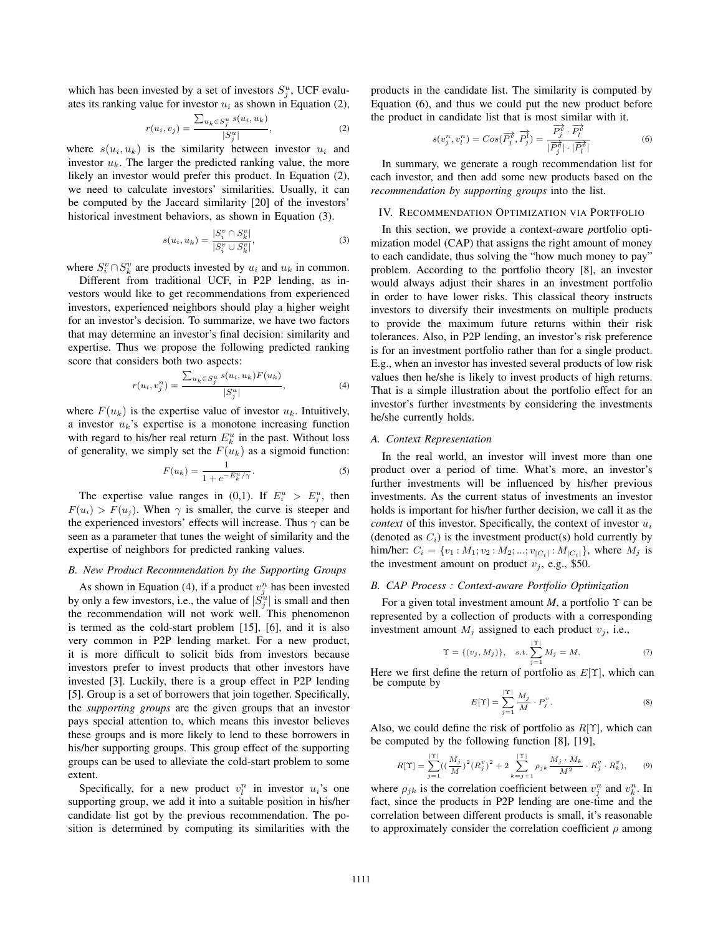which has been invested by a set of investors  $S_i^u$ , UCF evaluates its ranking value for investor  $u_i$  as shown in Equation (2),

$$
r(u_i, v_j) = \frac{\sum_{u_k \in S_j^u} s(u_i, u_k)}{|S_j^u|},
$$
\n(2)

where  $s(u_i, u_k)$  is the similarity between investor  $u_i$  and investor  $u_k$ . The larger the predicted ranking value, the more likely an investor would prefer this product. In Equation (2), we need to calculate investors' similarities. Usually, it can be computed by the Jaccard similarity [20] of the investors' historical investment behaviors, as shown in Equation (3).

$$
s(u_i, u_k) = \frac{|S_i^v \cap S_k^v|}{|S_i^v \cup S_k^v|},
$$
\n(3)

where  $S_i^v \cap S_k^v$  are products invested by  $u_i$  and  $u_k$  in common.

Different from traditional UCF, in P2P lending, as investors would like to get recommendations from experienced investors, experienced neighbors should play a higher weight for an investor's decision. To summarize, we have two factors that may determine an investor's final decision: similarity and expertise. Thus we propose the following predicted ranking score that considers both two aspects:

$$
r(u_i, v_j^n) = \frac{\sum_{u_k \in S_j^u} s(u_i, u_k) F(u_k)}{|S_j^u|},
$$
\n(4)

where  $F(u_k)$  is the expertise value of investor  $u_k$ . Intuitively, a investor  $u_k$ 's expertise is a monotone increasing function with regard to his/her real return  $E_k^u$  in the past. Without loss of generality, we simply set the  $F(u_k)$  as a sigmoid function:

$$
F(u_k) = \frac{1}{1 + e^{-E_k^u/\gamma}}.
$$
\n(5)

The expertise value ranges in (0,1). If  $E_i^u > E_j^u$ , then  $F(u_i) > F(u_j)$ . When  $\gamma$  is smaller, the curve is steeper and the experienced investors' effects will increase. Thus  $\gamma$  can be seen as a parameter that tunes the weight of similarity and the expertise of neighbors for predicted ranking values.

# *B. New Product Recommendation by the Supporting Groups*

As shown in Equation (4), if a product  $v_i^n$  has been invested by only a few investors, i.e., the value of  $|S_i^{\prime u}|$  is small and then the recommendation will not work well. This phenomenon is termed as the cold-start problem [15], [6], and it is also very common in P2P lending market. For a new product, it is more difficult to solicit bids from investors because investors prefer to invest products that other investors have invested [3]. Luckily, there is a group effect in P2P lending [5]. Group is a set of borrowers that join together. Specifically, the *supporting groups* are the given groups that an investor pays special attention to, which means this investor believes these groups and is more likely to lend to these borrowers in his/her supporting groups. This group effect of the supporting groups can be used to alleviate the cold-start problem to some extent.

Specifically, for a new product  $v_l^n$  in investor  $u_i$ 's one supporting group, we add it into a suitable position in his/her candidate list got by the previous recommendation. The position is determined by computing its similarities with the products in the candidate list. The similarity is computed by Equation (6), and thus we could put the new product before the product in candidate list that is most similar with it.

$$
s(v_j^n, v_l^n) = Cos(\overrightarrow{P_j^b}, \overrightarrow{P_j^b}) = \frac{\overrightarrow{P_j^b} \cdot \overrightarrow{P_l^b}}{|\overrightarrow{P_j^b}| \cdot |\overrightarrow{P_l^b}|}
$$
(6)

In summary, we generate a rough recommendation list for each investor, and then add some new products based on the *recommendation by supporting groups* into the list.

## IV. RECOMMENDATION OPTIMIZATION VIA PORTFOLIO

In this section, we provide a *c*ontext-*a*ware *p*ortfolio optimization model (CAP) that assigns the right amount of money to each candidate, thus solving the "how much money to pay" problem. According to the portfolio theory [8], an investor would always adjust their shares in an investment portfolio in order to have lower risks. This classical theory instructs investors to diversify their investments on multiple products to provide the maximum future returns within their risk tolerances. Also, in P2P lending, an investor's risk preference is for an investment portfolio rather than for a single product. E.g., when an investor has invested several products of low risk values then he/she is likely to invest products of high returns. That is a simple illustration about the portfolio effect for an investor's further investments by considering the investments he/she currently holds.

#### *A. Context Representation*

In the real world, an investor will invest more than one product over a period of time. What's more, an investor's further investments will be influenced by his/her previous investments. As the current status of investments an investor holds is important for his/her further decision, we call it as the *context* of this investor. Specifically, the context of investor  $u_i$ (denoted as  $C_i$ ) is the investment product(s) hold currently by him/her:  $C_i = \{v_1 : M_1; v_2 : M_2; ...; v_{|C_i|} : M_{|C_i|}\}$ , where  $M_j$  is the investment amount on product  $v_i$ , e.g., \$50.

## *B. CAP Process : Context-aware Portfolio Optimization*

For a given total investment amount *M*, a portfolio  $\Upsilon$  can be represented by a collection of products with a corresponding investment amount  $M_j$  assigned to each product  $v_j$ , i.e.,

$$
\Upsilon = \{(v_j, M_j)\}, \quad s.t. \sum_{j=1}^{|{\Upsilon}|} M_j = M. \tag{7}
$$

Here we first define the return of portfolio as  $E[\Upsilon]$ , which can be compute by

$$
E[\Upsilon] = \sum_{j=1}^{|\Upsilon|} \frac{M_j}{M} \cdot P_j^v. \tag{8}
$$

Also, we could define the risk of portfolio as  $R[\Upsilon]$ , which can be computed by the following function [8], [19],

$$
R[\Upsilon] = \sum_{j=1}^{|\Upsilon|} \left( \frac{M_j}{M} \right)^2 (R_j^v)^2 + 2 \sum_{k=j+1}^{|\Upsilon|} \rho_{jk} \frac{M_j \cdot M_k}{M^2} \cdot R_j^v \cdot R_k^v, \tag{9}
$$

where  $\rho_{jk}$  is the correlation coefficient between  $v_j^n$  and  $v_k^n$ . In fact, since the products in P2P lending are one-time and the correlation between different products is small, it's reasonable to approximately consider the correlation coefficient  $\rho$  among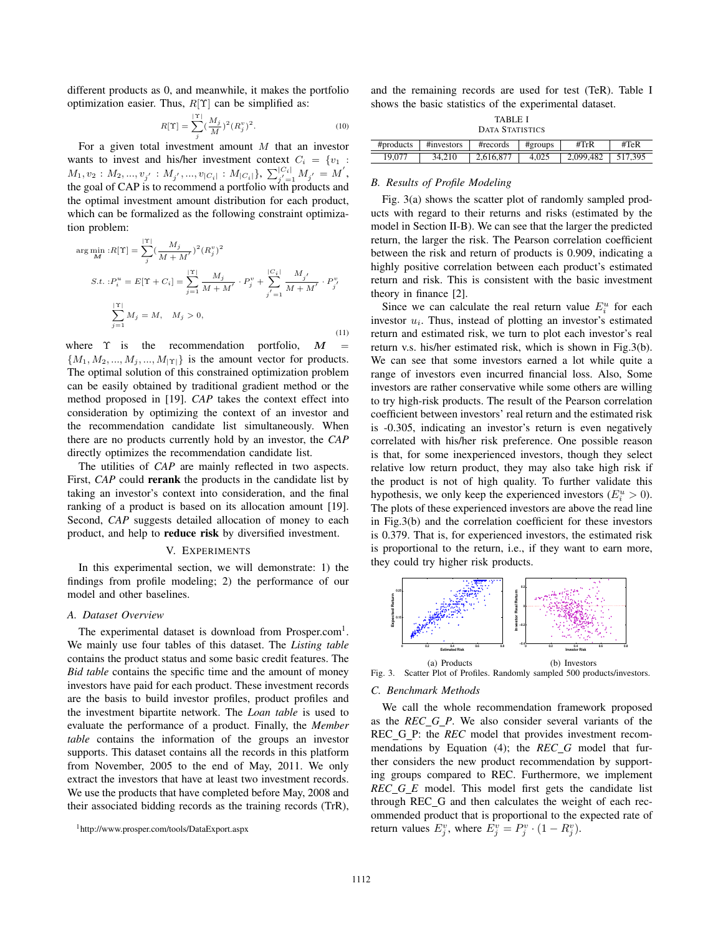different products as 0, and meanwhile, it makes the portfolio optimization easier. Thus,  $R[\Upsilon]$  can be simplified as:

$$
R[\Upsilon] = \sum_{j}^{\lvert \Upsilon \rvert} \left(\frac{M_j}{M}\right)^2 (R_j^v)^2.
$$
 (10)

For a given total investment amount  $M$  that an investor wants to invest and his/her investment context  $C_i = \{v_1 :$  $M_1, v_2: M_2, ..., v_{j'}: M_{j'}, ..., v_{|C_i|}: M_{|C_i|} \}$ ,  $\sum_{j'=1}^{|C_i|} M_{j'} = M'$ , the goal of CAP is to recommend a portfolio with products and the optimal investment amount distribution for each product, which can be formalized as the following constraint optimization problem:

$$
\arg\min_{M} : R[\Upsilon] = \sum_{j}^{|\Upsilon|} \left(\frac{M_{j}}{M + M'}\right)^{2} (R_{j}^{v})^{2}
$$
  

$$
S.t. : P_{i}^{u} = E[\Upsilon + C_{i}] = \sum_{j=1}^{|\Upsilon|} \frac{M_{j}}{M + M'} \cdot P_{j}^{v} + \sum_{j'=1}^{|C_{i}|} \frac{M_{j'}}{M + M'} \cdot P_{j'}^{v}
$$
  

$$
\sum_{j=1}^{|\Upsilon|} M_{j} = M, \quad M_{j} > 0,
$$
\n(11)

where  $\Upsilon$  is the recommendation portfolio,  $M =$  $\{M_1, M_2, ..., M_j, ..., M_{|\Upsilon|}\}\$ is the amount vector for products. The optimal solution of this constrained optimization problem can be easily obtained by traditional gradient method or the method proposed in [19]. *CAP* takes the context effect into consideration by optimizing the context of an investor and the recommendation candidate list simultaneously. When there are no products currently hold by an investor, the *CAP* directly optimizes the recommendation candidate list.

The utilities of *CAP* are mainly reflected in two aspects. First, *CAP* could **rerank** the products in the candidate list by taking an investor's context into consideration, and the final ranking of a product is based on its allocation amount [19]. Second, *CAP* suggests detailed allocation of money to each product, and help to reduce risk by diversified investment.

#### V. EXPERIMENTS

In this experimental section, we will demonstrate: 1) the findings from profile modeling; 2) the performance of our model and other baselines.

## *A. Dataset Overview*

The experimental dataset is download from Prosper.com<sup>1</sup>. We mainly use four tables of this dataset. The *Listing table* contains the product status and some basic credit features. The *Bid table* contains the specific time and the amount of money investors have paid for each product. These investment records are the basis to build investor profiles, product profiles and the investment bipartite network. The *Loan table* is used to evaluate the performance of a product. Finally, the *Member table* contains the information of the groups an investor supports. This dataset contains all the records in this platform from November, 2005 to the end of May, 2011. We only extract the investors that have at least two investment records. We use the products that have completed before May, 2008 and their associated bidding records as the training records (TrR),

and the remaining records are used for test (TeR). Table I shows the basic statistics of the experimental dataset.

| TABLE I<br><b>DATA STATISTICS</b> |            |           |         |           |         |  |  |  |
|-----------------------------------|------------|-----------|---------|-----------|---------|--|--|--|
| #products                         | #investors | #records  | #groups | #TrR      | #TeR    |  |  |  |
| 19.077                            | 34.210     | 2.616.877 | 4.025   | 2.099.482 | 517.395 |  |  |  |

# *B. Results of Profile Modeling*

Fig. 3(a) shows the scatter plot of randomly sampled products with regard to their returns and risks (estimated by the model in Section II-B). We can see that the larger the predicted return, the larger the risk. The Pearson correlation coefficient between the risk and return of products is 0.909, indicating a highly positive correlation between each product's estimated return and risk. This is consistent with the basic investment theory in finance [2].

Since we can calculate the real return value  $E_i^u$  for each investor  $u_i$ . Thus, instead of plotting an investor's estimated return and estimated risk, we turn to plot each investor's real return v.s. his/her estimated risk, which is shown in Fig.3(b). We can see that some investors earned a lot while quite a range of investors even incurred financial loss. Also, Some investors are rather conservative while some others are willing to try high-risk products. The result of the Pearson correlation coefficient between investors' real return and the estimated risk is -0.305, indicating an investor's return is even negatively correlated with his/her risk preference. One possible reason is that, for some inexperienced investors, though they select relative low return product, they may also take high risk if the product is not of high quality. To further validate this hypothesis, we only keep the experienced investors  $(E_i^u > 0)$ . The plots of these experienced investors are above the read line in Fig.3(b) and the correlation coefficient for these investors is 0.379. That is, for experienced investors, the estimated risk is proportional to the return, i.e., if they want to earn more, they could try higher risk products.



Fig. 3. Scatter Plot of Profiles. Randomly sampled 500 products/investors.

#### *C. Benchmark Methods*

We call the whole recommendation framework proposed as the *REC*<sub>6</sub>*P*. We also consider several variants of the REC\_G\_P: the *REC* model that provides investment recommendations by Equation (4); the *REC*<sub>*G*</sub> model that further considers the new product recommendation by supporting groups compared to REC. Furthermore, we implement *REC G E* model. This model first gets the candidate list through REC G and then calculates the weight of each recommended product that is proportional to the expected rate of return values  $E_i^v$ , where  $E_i^v = P_i^v \cdot (1 - R_i^v)$ .

<sup>1</sup>http://www.prosper.com/tools/DataExport.aspx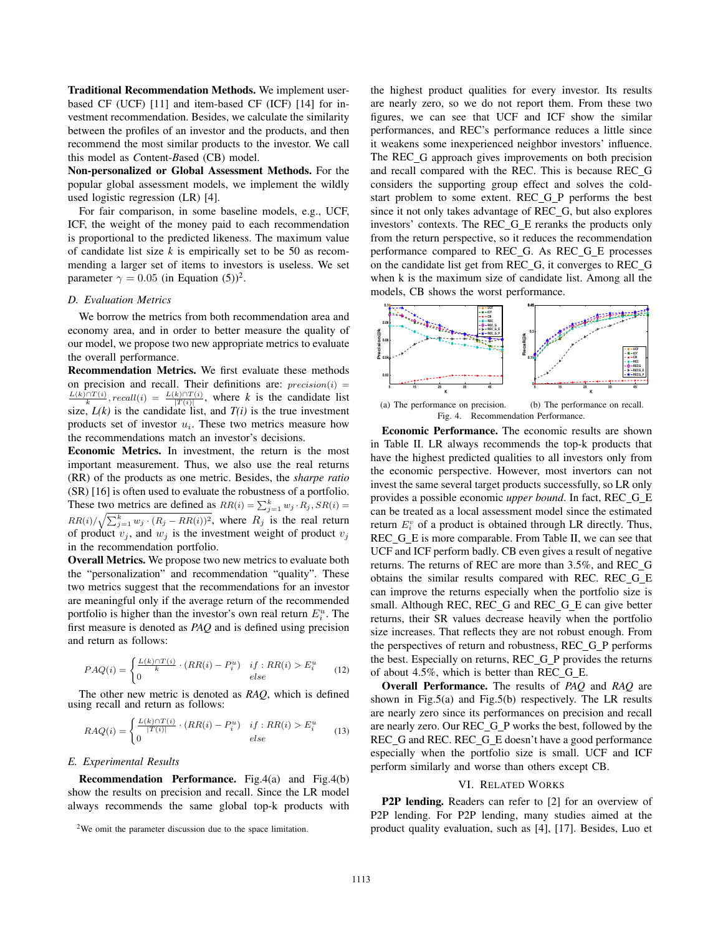Traditional Recommendation Methods. We implement userbased CF (UCF) [11] and item-based CF (ICF) [14] for investment recommendation. Besides, we calculate the similarity between the profiles of an investor and the products, and then recommend the most similar products to the investor. We call this model as *C*ontent-*B*ased (CB) model.

Non-personalized or Global Assessment Methods. For the popular global assessment models, we implement the wildly used logistic regression (LR) [4].

For fair comparison, in some baseline models, e.g., UCF, ICF, the weight of the money paid to each recommendation is proportional to the predicted likeness. The maximum value of candidate list size  $k$  is empirically set to be 50 as recommending a larger set of items to investors is useless. We set parameter  $\gamma = 0.05$  (in Equation (5))<sup>2</sup>.

## *D. Evaluation Metrics*

We borrow the metrics from both recommendation area and economy area, and in order to better measure the quality of our model, we propose two new appropriate metrics to evaluate the overall performance.

Recommendation Metrics. We first evaluate these methods on precision and recall. Their definitions are: *precision*(*i*) =  $\frac{L(k) \cap T(i)}{k}$ , *recall*(*i*) =  $\frac{L(k) \cap T(i)}{|T(i)|}$ , where *k* is the candidate list size,  $L(k)$  is the candidate list, and  $T(i)$  is the true investment products set of investor  $u_i$ . These two metrics measure how the recommendations match an investor's decisions.

Economic Metrics. In investment, the return is the most important measurement. Thus, we also use the real returns (RR) of the products as one metric. Besides, the *sharpe ratio* (SR) [16] is often used to evaluate the robustness of a portfolio. These two metrics are defined as  $RR(i) = \sum_{j=1}^{k} w_j \cdot R_j$ ,  $SR(i) =$  $RR(i)/\sqrt{\sum_{j=1}^{k} w_j \cdot (R_j - RR(i))^2}$ , where  $R_j$  is the real return of product  $v_j$ , and  $w_j$  is the investment weight of product  $v_j$ in the recommendation portfolio.

Overall Metrics. We propose two new metrics to evaluate both the "personalization" and recommendation "quality". These two metrics suggest that the recommendations for an investor are meaningful only if the average return of the recommended portfolio is higher than the investor's own real return  $E_i^u$ . The first measure is denoted as *PAQ* and is defined using precision and return as follows:

$$
PAQ(i) = \begin{cases} \frac{L(k) \cap T(i)}{k} \cdot (RR(i) - P_i^u) & if : RR(i) > E_i^u\\ 0 & else \end{cases}
$$
(12)

The other new metric is denoted as *RAQ*, which is defined using recall and return as follows:

$$
RAQ(i) = \begin{cases} \frac{L(k) \cap T(i)}{|T(i)|} \cdot (RR(i) - P_i^u) & if : RR(i) > E_i^u\\ 0 & else \end{cases}
$$
(13)

## *E. Experimental Results*

Recommendation Performance. Fig.4(a) and Fig.4(b) show the results on precision and recall. Since the LR model always recommends the same global top-k products with

the highest product qualities for every investor. Its results are nearly zero, so we do not report them. From these two figures, we can see that UCF and ICF show the similar performances, and REC's performance reduces a little since it weakens some inexperienced neighbor investors' influence. The REC<sub>C</sub>G approach gives improvements on both precision and recall compared with the REC. This is because REC G considers the supporting group effect and solves the coldstart problem to some extent. REC\_G\_P performs the best since it not only takes advantage of REC\_G, but also explores investors' contexts. The REC G E reranks the products only from the return perspective, so it reduces the recommendation performance compared to REC\_G. As REC\_G\_E processes on the candidate list get from REC G, it converges to REC G when k is the maximum size of candidate list. Among all the models, CB shows the worst performance.



Fig. 4. Recommendation Performance. Economic Performance. The economic results are shown

in Table II. LR always recommends the top-k products that have the highest predicted qualities to all investors only from the economic perspective. However, most invertors can not invest the same several target products successfully, so LR only provides a possible economic *upper bound*. In fact, REC\_G\_E can be treated as a local assessment model since the estimated return  $E_i^v$  of a product is obtained through LR directly. Thus, REC\_G\_E is more comparable. From Table II, we can see that UCF and ICF perform badly. CB even gives a result of negative returns. The returns of REC are more than 3.5%, and REC G obtains the similar results compared with REC. REC\_G\_E can improve the returns especially when the portfolio size is small. Although REC, REC\_G and REC\_G\_E can give better returns, their SR values decrease heavily when the portfolio size increases. That reflects they are not robust enough. From the perspectives of return and robustness, REC G P performs the best. Especially on returns, REC G P provides the returns of about 4.5%, which is better than REC G E.

Overall Performance. The results of *PAQ* and *RAQ* are shown in Fig.5(a) and Fig.5(b) respectively. The LR results are nearly zero since its performances on precision and recall are nearly zero. Our REC\_G\_P works the best, followed by the REC\_G and REC. REC\_G\_E doesn't have a good performance especially when the portfolio size is small. UCF and ICF perform similarly and worse than others except CB.

## VI. RELATED WORKS

P2P lending. Readers can refer to [2] for an overview of P2P lending. For P2P lending, many studies aimed at the product quality evaluation, such as [4], [17]. Besides, Luo et

<sup>&</sup>lt;sup>2</sup>We omit the parameter discussion due to the space limitation.